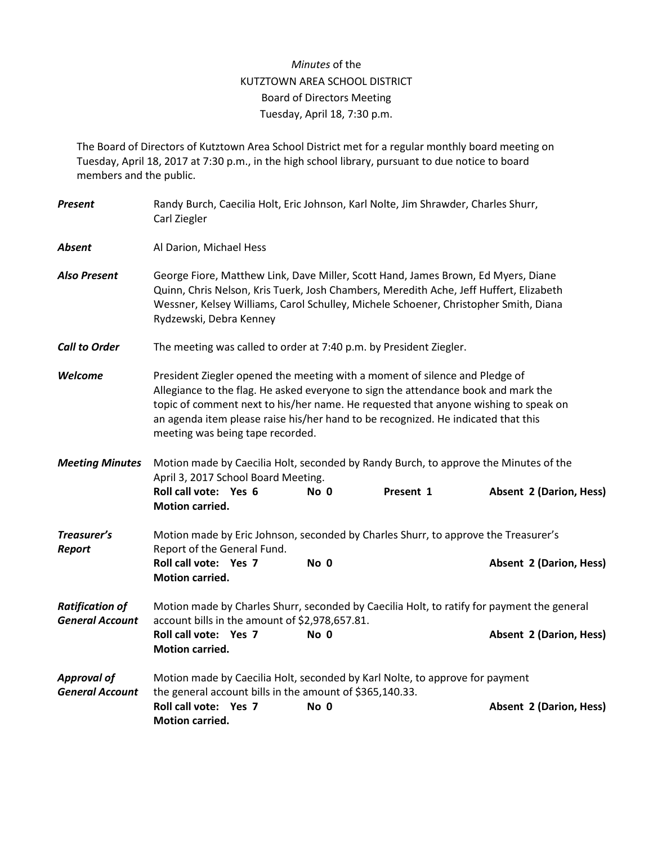## *Minutes* of the KUTZTOWN AREA SCHOOL DISTRICT Board of Directors Meeting Tuesday, April 18, 7:30 p.m.

The Board of Directors of Kutztown Area School District met for a regular monthly board meeting on Tuesday, April 18, 2017 at 7:30 p.m., in the high school library, pursuant to due notice to board members and the public.

| Present                                          | Randy Burch, Caecilia Holt, Eric Johnson, Karl Nolte, Jim Shrawder, Charles Shurr,<br>Carl Ziegler                                                                                                                                                                                                                                                                                |      |           |                                |  |  |  |
|--------------------------------------------------|-----------------------------------------------------------------------------------------------------------------------------------------------------------------------------------------------------------------------------------------------------------------------------------------------------------------------------------------------------------------------------------|------|-----------|--------------------------------|--|--|--|
| <b>Absent</b>                                    | Al Darion, Michael Hess                                                                                                                                                                                                                                                                                                                                                           |      |           |                                |  |  |  |
| <b>Also Present</b>                              | George Fiore, Matthew Link, Dave Miller, Scott Hand, James Brown, Ed Myers, Diane<br>Quinn, Chris Nelson, Kris Tuerk, Josh Chambers, Meredith Ache, Jeff Huffert, Elizabeth<br>Wessner, Kelsey Williams, Carol Schulley, Michele Schoener, Christopher Smith, Diana<br>Rydzewski, Debra Kenney                                                                                    |      |           |                                |  |  |  |
| <b>Call to Order</b>                             | The meeting was called to order at 7:40 p.m. by President Ziegler.                                                                                                                                                                                                                                                                                                                |      |           |                                |  |  |  |
| Welcome                                          | President Ziegler opened the meeting with a moment of silence and Pledge of<br>Allegiance to the flag. He asked everyone to sign the attendance book and mark the<br>topic of comment next to his/her name. He requested that anyone wishing to speak on<br>an agenda item please raise his/her hand to be recognized. He indicated that this<br>meeting was being tape recorded. |      |           |                                |  |  |  |
| <b>Meeting Minutes</b>                           | Motion made by Caecilia Holt, seconded by Randy Burch, to approve the Minutes of the<br>April 3, 2017 School Board Meeting.<br>Roll call vote: Yes 6<br><b>Motion carried.</b>                                                                                                                                                                                                    | No 0 | Present 1 | <b>Absent 2 (Darion, Hess)</b> |  |  |  |
| Treasurer's<br>Report                            | Motion made by Eric Johnson, seconded by Charles Shurr, to approve the Treasurer's<br>Report of the General Fund.<br>Roll call vote: Yes 7<br><b>Motion carried.</b>                                                                                                                                                                                                              | No 0 |           | <b>Absent 2 (Darion, Hess)</b> |  |  |  |
| <b>Ratification of</b><br><b>General Account</b> | Motion made by Charles Shurr, seconded by Caecilia Holt, to ratify for payment the general<br>account bills in the amount of \$2,978,657.81.<br>Roll call vote: Yes 7<br>No 0<br><b>Absent 2 (Darion, Hess)</b>                                                                                                                                                                   |      |           |                                |  |  |  |
|                                                  | <b>Motion carried.</b>                                                                                                                                                                                                                                                                                                                                                            |      |           |                                |  |  |  |
| <b>Approval of</b><br><b>General Account</b>     | Motion made by Caecilia Holt, seconded by Karl Nolte, to approve for payment<br>the general account bills in the amount of \$365,140.33.                                                                                                                                                                                                                                          |      |           |                                |  |  |  |
|                                                  | Roll call vote: Yes 7<br>Motion carried.                                                                                                                                                                                                                                                                                                                                          | No 0 |           | <b>Absent 2 (Darion, Hess)</b> |  |  |  |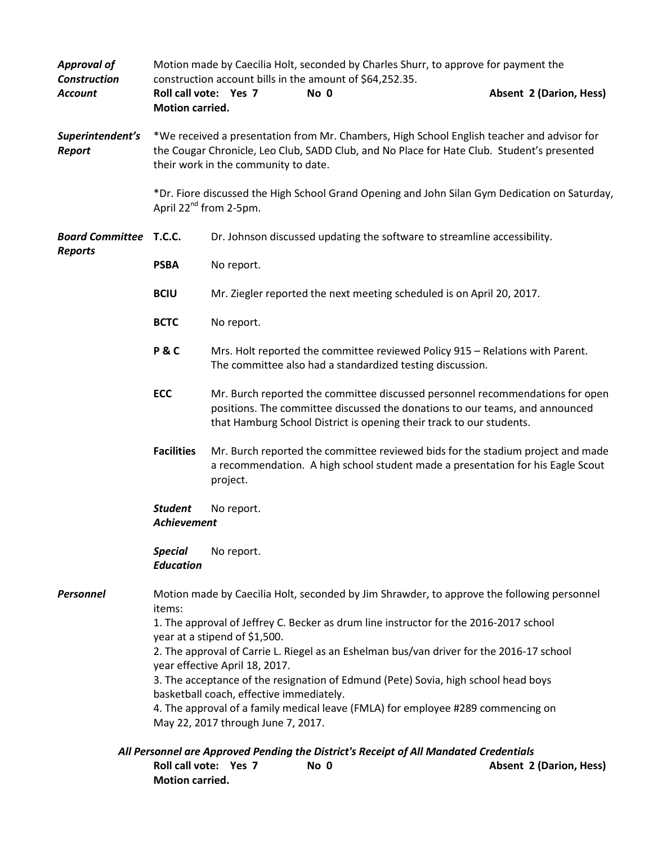| <b>Approval of</b><br><b>Construction</b>                                             | Motion made by Caecilia Holt, seconded by Charles Shurr, to approve for payment the<br>construction account bills in the amount of \$64,252.35. |                                                                                                                                                                                                                                       |      |                                                                                                                                                                    |  |  |
|---------------------------------------------------------------------------------------|-------------------------------------------------------------------------------------------------------------------------------------------------|---------------------------------------------------------------------------------------------------------------------------------------------------------------------------------------------------------------------------------------|------|--------------------------------------------------------------------------------------------------------------------------------------------------------------------|--|--|
| <b>Account</b>                                                                        | Roll call vote: Yes 7<br><b>Motion carried.</b>                                                                                                 |                                                                                                                                                                                                                                       | No 0 | <b>Absent 2 (Darion, Hess)</b>                                                                                                                                     |  |  |
| Superintendent's<br>Report                                                            | their work in the community to date.                                                                                                            | *We received a presentation from Mr. Chambers, High School English teacher and advisor for<br>the Cougar Chronicle, Leo Club, SADD Club, and No Place for Hate Club. Student's presented                                              |      |                                                                                                                                                                    |  |  |
|                                                                                       | *Dr. Fiore discussed the High School Grand Opening and John Silan Gym Dedication on Saturday,<br>April 22 <sup>nd</sup> from 2-5pm.             |                                                                                                                                                                                                                                       |      |                                                                                                                                                                    |  |  |
| <b>Board Committee T.C.C.</b><br><b>Reports</b>                                       |                                                                                                                                                 | Dr. Johnson discussed updating the software to streamline accessibility.                                                                                                                                                              |      |                                                                                                                                                                    |  |  |
|                                                                                       | <b>PSBA</b>                                                                                                                                     | No report.                                                                                                                                                                                                                            |      |                                                                                                                                                                    |  |  |
|                                                                                       | <b>BCIU</b>                                                                                                                                     | Mr. Ziegler reported the next meeting scheduled is on April 20, 2017.                                                                                                                                                                 |      |                                                                                                                                                                    |  |  |
|                                                                                       | <b>BCTC</b>                                                                                                                                     | No report.                                                                                                                                                                                                                            |      |                                                                                                                                                                    |  |  |
|                                                                                       | <b>P&amp;C</b>                                                                                                                                  | Mrs. Holt reported the committee reviewed Policy 915 - Relations with Parent.<br>The committee also had a standardized testing discussion.                                                                                            |      |                                                                                                                                                                    |  |  |
|                                                                                       | <b>ECC</b>                                                                                                                                      | Mr. Burch reported the committee discussed personnel recommendations for open<br>positions. The committee discussed the donations to our teams, and announced<br>that Hamburg School District is opening their track to our students. |      |                                                                                                                                                                    |  |  |
|                                                                                       | <b>Facilities</b>                                                                                                                               | project.                                                                                                                                                                                                                              |      | Mr. Burch reported the committee reviewed bids for the stadium project and made<br>a recommendation. A high school student made a presentation for his Eagle Scout |  |  |
|                                                                                       | <b>Student</b><br>No report.<br><b>Achievement</b>                                                                                              |                                                                                                                                                                                                                                       |      |                                                                                                                                                                    |  |  |
|                                                                                       | <b>Special</b><br><b>Education</b>                                                                                                              | No report.                                                                                                                                                                                                                            |      |                                                                                                                                                                    |  |  |
| Personnel                                                                             | Motion made by Caecilia Holt, seconded by Jim Shrawder, to approve the following personnel                                                      |                                                                                                                                                                                                                                       |      |                                                                                                                                                                    |  |  |
|                                                                                       | items:<br>1. The approval of Jeffrey C. Becker as drum line instructor for the 2016-2017 school                                                 |                                                                                                                                                                                                                                       |      |                                                                                                                                                                    |  |  |
|                                                                                       | year at a stipend of \$1,500.                                                                                                                   |                                                                                                                                                                                                                                       |      |                                                                                                                                                                    |  |  |
|                                                                                       | 2. The approval of Carrie L. Riegel as an Eshelman bus/van driver for the 2016-17 school<br>year effective April 18, 2017.                      |                                                                                                                                                                                                                                       |      |                                                                                                                                                                    |  |  |
|                                                                                       | 3. The acceptance of the resignation of Edmund (Pete) Sovia, high school head boys                                                              |                                                                                                                                                                                                                                       |      |                                                                                                                                                                    |  |  |
|                                                                                       | basketball coach, effective immediately.                                                                                                        |                                                                                                                                                                                                                                       |      |                                                                                                                                                                    |  |  |
|                                                                                       | 4. The approval of a family medical leave (FMLA) for employee #289 commencing on<br>May 22, 2017 through June 7, 2017.                          |                                                                                                                                                                                                                                       |      |                                                                                                                                                                    |  |  |
| All Personnel are Approved Pending the District's Receipt of All Mandated Credentials |                                                                                                                                                 |                                                                                                                                                                                                                                       |      |                                                                                                                                                                    |  |  |
|                                                                                       | Roll call vote: Yes 7                                                                                                                           |                                                                                                                                                                                                                                       | No 0 | Absent 2 (Darion, Hess)                                                                                                                                            |  |  |

**Motion carried.**